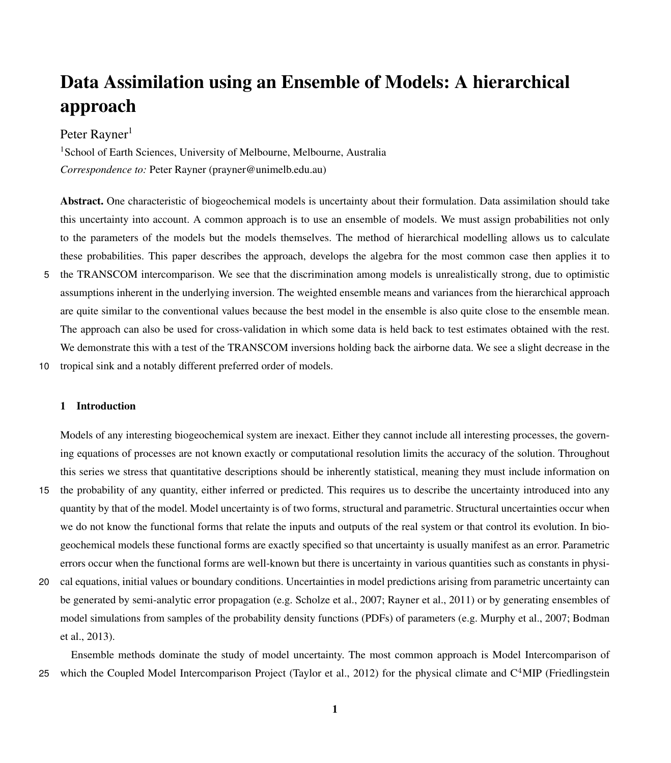# Data Assimilation using an Ensemble of Models: A hierarchical approach

# Peter Rayner<sup>1</sup>

<sup>1</sup>School of Earth Sciences, University of Melbourne, Melbourne, Australia *Correspondence to:* Peter Rayner (prayner@unimelb.edu.au)

Abstract. One characteristic of biogeochemical models is uncertainty about their formulation. Data assimilation should take this uncertainty into account. A common approach is to use an ensemble of models. We must assign probabilities not only to the parameters of the models but the models themselves. The method of hierarchical modelling allows us to calculate these probabilities. This paper describes the approach, develops the algebra for the most common case then applies it to 5 the TRANSCOM intercomparison. We see that the discrimination among models is unrealistically strong, due to optimistic assumptions inherent in the underlying inversion. The weighted ensemble means and variances from the hierarchical approach are quite similar to the conventional values because the best model in the ensemble is also quite close to the ensemble mean. The approach can also be used for cross-validation in which some data is held back to test estimates obtained with the rest. We demonstrate this with a test of the TRANSCOM inversions holding back the airborne data. We see a slight decrease in the

10 tropical sink and a notably different preferred order of models.

# 1 Introduction

Models of any interesting biogeochemical system are inexact. Either they cannot include all interesting processes, the governing equations of processes are not known exactly or computational resolution limits the accuracy of the solution. Throughout this series we stress that quantitative descriptions should be inherently statistical, meaning they must include information on

- 15 the probability of any quantity, either inferred or predicted. This requires us to describe the uncertainty introduced into any quantity by that of the model. Model uncertainty is of two forms, structural and parametric. Structural uncertainties occur when we do not know the functional forms that relate the inputs and outputs of the real system or that control its evolution. In biogeochemical models these functional forms are exactly specified so that uncertainty is usually manifest as an error. Parametric errors occur when the functional forms are well-known but there is uncertainty in various quantities such as constants in physi-
- 20 cal equations, initial values or boundary conditions. Uncertainties in model predictions arising from parametric uncertainty can be generated by semi-analytic error propagation (e.g. [Scholze et al., 2007;](#page-16-0) [Rayner et al., 2011\)](#page-16-1) or by generating ensembles of [m](#page-15-0)odel simulations from samples of the probability density functions (PDFs) of parameters (e.g. [Murphy et al., 2007;](#page-16-2) [Bodman](#page-15-0) [et al., 2013\)](#page-15-0).

Ensemble methods dominate the study of model uncertainty. The most common approach is Model Intercomparison of 25 [w](#page-15-1)hich the Coupled Model Intercomparison Project [\(Taylor et al., 2012\)](#page-17-0) for the physical climate and  $C<sup>4</sup>MIP$  [\(Friedlingstein](#page-15-1)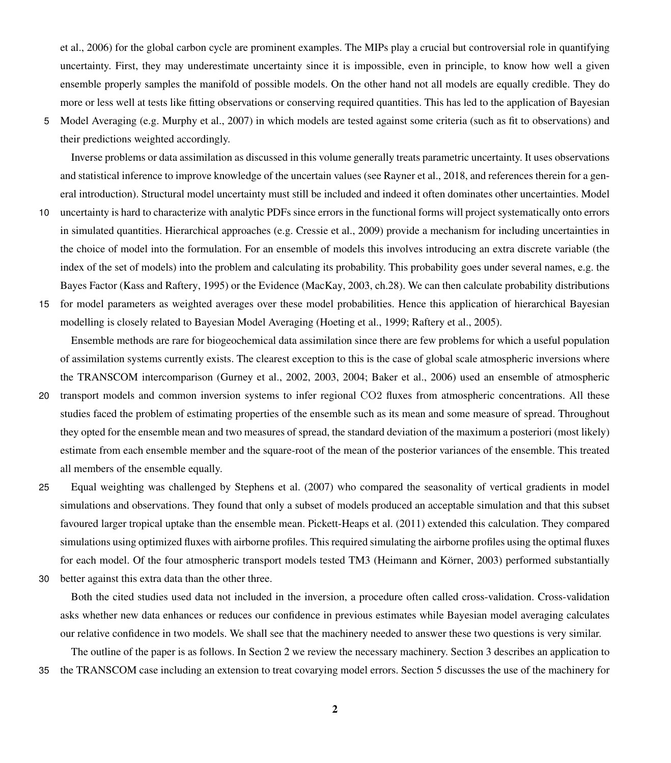[et al., 2006\)](#page-15-1) for the global carbon cycle are prominent examples. The MIPs play a crucial but controversial role in quantifying uncertainty. First, they may underestimate uncertainty since it is impossible, even in principle, to know how well a given ensemble properly samples the manifold of possible models. On the other hand not all models are equally credible. They do more or less well at tests like fitting observations or conserving required quantities. This has led to the application of Bayesian

5 Model Averaging (e.g. [Murphy et al., 2007\)](#page-16-2) in which models are tested against some criteria (such as fit to observations) and their predictions weighted accordingly.

Inverse problems or data assimilation as discussed in this volume generally treats parametric uncertainty. It uses observations and statistical inference to improve knowledge of the uncertain values (see [Rayner et al., 2018,](#page-16-3) and references therein for a general introduction). Structural model uncertainty must still be included and indeed it often dominates other uncertainties. Model

- 10 uncertainty is hard to characterize with analytic PDFs since errors in the functional forms will project systematically onto errors in simulated quantities. Hierarchical approaches (e.g. [Cressie et al., 2009\)](#page-15-2) provide a mechanism for including uncertainties in the choice of model into the formulation. For an ensemble of models this involves introducing an extra discrete variable (the index of the set of models) into the problem and calculating its probability. This probability goes under several names, e.g. the Bayes Factor [\(Kass and Raftery, 1995\)](#page-16-4) or the Evidence [\(MacKay, 2003,](#page-16-5) ch.28). We can then calculate probability distributions
- 15 for model parameters as weighted averages over these model probabilities. Hence this application of hierarchical Bayesian modelling is closely related to Bayesian Model Averaging [\(Hoeting et al., 1999;](#page-16-6) [Raftery et al., 2005\)](#page-16-7).

Ensemble methods are rare for biogeochemical data assimilation since there are few problems for which a useful population of assimilation systems currently exists. The clearest exception to this is the case of global scale atmospheric inversions where the TRANSCOM intercomparison [\(Gurney et al., 2002,](#page-15-3) [2003,](#page-15-4) [2004;](#page-15-5) [Baker et al., 2006\)](#page-15-6) used an ensemble of atmospheric

- 20 transport models and common inversion systems to infer regional CO2 fluxes from atmospheric concentrations. All these studies faced the problem of estimating properties of the ensemble such as its mean and some measure of spread. Throughout they opted for the ensemble mean and two measures of spread, the standard deviation of the maximum a posteriori (most likely) estimate from each ensemble member and the square-root of the mean of the posterior variances of the ensemble. This treated all members of the ensemble equally.
- 25 Equal weighting was challenged by [Stephens et al.](#page-17-1) [\(2007\)](#page-17-1) who compared the seasonality of vertical gradients in model simulations and observations. They found that only a subset of models produced an acceptable simulation and that this subset favoured larger tropical uptake than the ensemble mean. [Pickett-Heaps et al.](#page-16-8) [\(2011\)](#page-16-8) extended this calculation. They compared simulations using optimized fluxes with airborne profiles. This required simulating the airborne profiles using the optimal fluxes for each model. Of the four atmospheric transport models tested TM3 [\(Heimann and Körner, 2003\)](#page-16-9) performed substantially
- 30 better against this extra data than the other three.

Both the cited studies used data not included in the inversion, a procedure often called cross-validation. Cross-validation asks whether new data enhances or reduces our confidence in previous estimates while Bayesian model averaging calculates our relative confidence in two models. We shall see that the machinery needed to answer these two questions is very similar.

The outline of the paper is as follows. In Section [2](#page-2-0) we review the necessary machinery. Section [3](#page-5-0) describes an application to 35 the TRANSCOM case including an extension to treat covarying model errors. Section [5](#page-10-0) discusses the use of the machinery for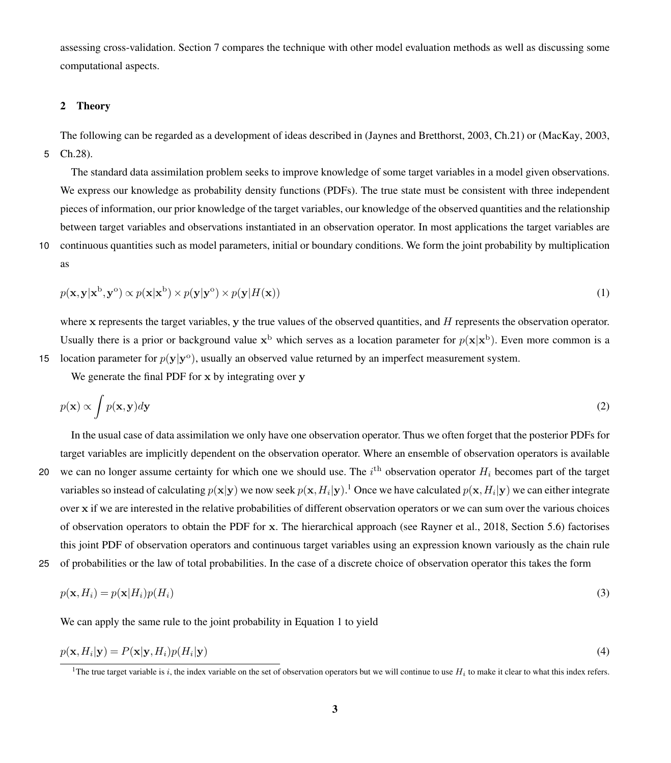assessing cross-validation. Section [7](#page-12-0) compares the technique with other model evaluation methods as well as discussing some computational aspects.

# <span id="page-2-0"></span>2 Theory

The following can be regarded as a development of ideas described in [\(Jaynes and Bretthorst, 2003,](#page-16-10) Ch.21) or [\(MacKay, 2003,](#page-16-5) 5 Ch.28).

The standard data assimilation problem seeks to improve knowledge of some target variables in a model given observations. We express our knowledge as probability density functions (PDFs). The true state must be consistent with three independent pieces of information, our prior knowledge of the target variables, our knowledge of the observed quantities and the relationship between target variables and observations instantiated in an observation operator. In most applications the target variables are

<span id="page-2-2"></span>10 continuous quantities such as model parameters, initial or boundary conditions. We form the joint probability by multiplication as

$$
p(\mathbf{x}, \mathbf{y}|\mathbf{x}^{\mathrm{b}}, \mathbf{y}^{\mathrm{o}}) \propto p(\mathbf{x}|\mathbf{x}^{\mathrm{b}}) \times p(\mathbf{y}|\mathbf{y}^{\mathrm{o}}) \times p(\mathbf{y}|H(\mathbf{x})) \tag{1}
$$

where  $x$  represents the target variables,  $y$  the true values of the observed quantities, and  $H$  represents the observation operator. Usually there is a prior or background value  $x^b$  which serves as a location parameter for  $p(x|x^b)$ . Even more common is a 15 location parameter for  $p(y|y^{\circ})$ , usually an observed value returned by an imperfect measurement system.

We generate the final PDF for x by integrating over y

$$
p(\mathbf{x}) \propto \int p(\mathbf{x}, \mathbf{y}) d\mathbf{y} \tag{2}
$$

In the usual case of data assimilation we only have one observation operator. Thus we often forget that the posterior PDFs for target variables are implicitly dependent on the observation operator. Where an ensemble of observation operators is available

- 20 we can no longer assume certainty for which one we should use. The  $i^{\text{th}}$  observation operator  $H_i$  becomes part of the target variables so instead of calculating  $p(x|y)$  we now seek  $p(x, H_i|y)$ .<sup>[1](#page-2-1)</sup> Once we have calculated  $p(x, H_i|y)$  we can either integrate over x if we are interested in the relative probabilities of different observation operators or we can sum over the various choices of observation operators to obtain the PDF for x. The hierarchical approach (see [Rayner et al., 2018,](#page-16-3) Section 5.6) factorises this joint PDF of observation operators and continuous target variables using an expression known variously as the chain rule
- 25 of probabilities or the law of total probabilities. In the case of a discrete choice of observation operator this takes the form

$$
p(\mathbf{x}, H_i) = p(\mathbf{x}|H_i)p(H_i)
$$
\n(3)

We can apply the same rule to the joint probability in Equation [1](#page-2-2) to yield

$$
p(\mathbf{x}, H_i | \mathbf{y}) = P(\mathbf{x} | \mathbf{y}, H_i) p(H_i | \mathbf{y})
$$
\n(4)

<span id="page-2-3"></span><span id="page-2-1"></span><sup>&</sup>lt;sup>1</sup>The true target variable is i, the index variable on the set of observation operators but we will continue to use  $H_i$  to make it clear to what this index refers.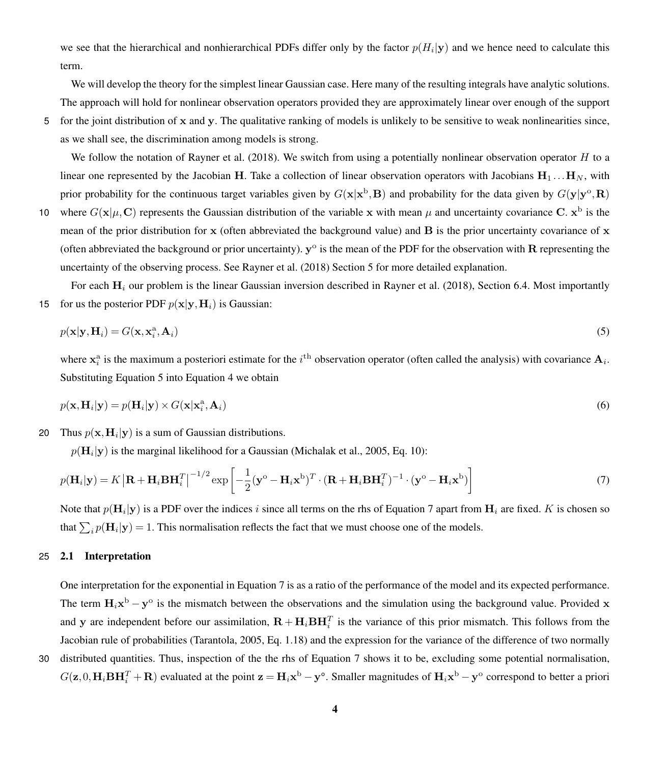we see that the hierarchical and nonhierarchical PDFs differ only by the factor  $p(H_i|\mathbf{y})$  and we hence need to calculate this term.

We will develop the theory for the simplest linear Gaussian case. Here many of the resulting integrals have analytic solutions. The approach will hold for nonlinear observation operators provided they are approximately linear over enough of the support

5 for the joint distribution of x and y. The qualitative ranking of models is unlikely to be sensitive to weak nonlinearities since, as we shall see, the discrimination among models is strong.

We follow the notation of [Rayner et al.](#page-16-3) [\(2018\)](#page-16-3). We switch from using a potentially nonlinear observation operator  $H$  to a linear one represented by the Jacobian H. Take a collection of linear observation operators with Jacobians  $H_1 \dots H_N$ , with prior probability for the continuous target variables given by  $G(x|x^b, B)$  and probability for the data given by  $G(y|y^o, R)$ 

10 where  $G(\mathbf{x}|\mu, \mathbf{C})$  represents the Gaussian distribution of the variable x with mean  $\mu$  and uncertainty covariance C.  $\mathbf{x}^{\text{b}}$  is the mean of the prior distribution for  $x$  (often abbreviated the background value) and  $B$  is the prior uncertainty covariance of  $x$ (often abbreviated the background or prior uncertainty).  $y^{\circ}$  is the mean of the PDF for the observation with R representing the uncertainty of the observing process. See [Rayner et al.](#page-16-3) [\(2018\)](#page-16-3) Section 5 for more detailed explanation.

For each  $H_i$  our problem is the linear Gaussian inversion described in [Rayner et al.](#page-16-3) [\(2018\)](#page-16-3), Section 6.4. Most importantly 15 for us the posterior PDF  $p(x|y, H_i)$  is Gaussian:

<span id="page-3-0"></span>
$$
p(\mathbf{x}|\mathbf{y},\mathbf{H}_i) = G(\mathbf{x}, \mathbf{x}_i^{\mathbf{a}}, \mathbf{A}_i) \tag{5}
$$

where  $x_i^a$  is the maximum a posteriori estimate for the  $i^{\text{th}}$  observation operator (often called the analysis) with covariance  $A_i$ . Substituting Equation [5](#page-3-0) into Equation [4](#page-2-3) we obtain

$$
p(\mathbf{x}, \mathbf{H}_i | \mathbf{y}) = p(\mathbf{H}_i | \mathbf{y}) \times G(\mathbf{x} | \mathbf{x}_i^{\mathbf{a}}, \mathbf{A}_i)
$$
(6)

20 Thus  $p(\mathbf{x},\mathbf{H}_i | \mathbf{y})$  is a sum of Gaussian distributions.

<span id="page-3-1"></span> $p(\mathbf{H}_i | \mathbf{y})$  is the marginal likelihood for a Gaussian [\(Michalak et al., 2005,](#page-16-11) Eq. 10):

$$
p(\mathbf{H}_{i}|\mathbf{y}) = K \left| \mathbf{R} + \mathbf{H}_{i} \mathbf{B} \mathbf{H}_{i}^{T} \right|^{-1/2} \exp \left[ -\frac{1}{2} (\mathbf{y}^{o} - \mathbf{H}_{i} \mathbf{x}^{b})^{T} \cdot (\mathbf{R} + \mathbf{H}_{i} \mathbf{B} \mathbf{H}_{i}^{T})^{-1} \cdot (\mathbf{y}^{o} - \mathbf{H}_{i} \mathbf{x}^{b}) \right]
$$
(7)

Note that  $p(\mathbf{H}_i|\mathbf{y})$  is a PDF over the indices i since all terms on the rhs of Equation [7](#page-3-1) apart from  $\mathbf{H}_i$  are fixed. K is chosen so that  $\sum_i p(\mathbf{H}_i | \mathbf{y}) = 1$ . This normalisation reflects the fact that we must choose one of the models.

## <span id="page-3-2"></span>25 2.1 Interpretation

One interpretation for the exponential in Equation [7](#page-3-1) is as a ratio of the performance of the model and its expected performance. The term  $H_i x^b - y^o$  is the mismatch between the observations and the simulation using the background value. Provided x and y are independent before our assimilation,  $\mathbf{R} + \mathbf{H}_i \mathbf{B} \mathbf{H}_i^T$  is the variance of this prior mismatch. This follows from the Jacobian rule of probabilities [\(Tarantola, 2005,](#page-17-2) Eq. 1.18) and the expression for the variance of the difference of two normally

30 distributed quantities. Thus, inspection of the the rhs of Equation [7](#page-3-1) shows it to be, excluding some potential normalisation,  $G(z,0,H_i BH_i^T + R)$  evaluated at the point  $z = H_i x^b - y^o$ . Smaller magnitudes of  $H_i x^b - y^o$  correspond to better a priori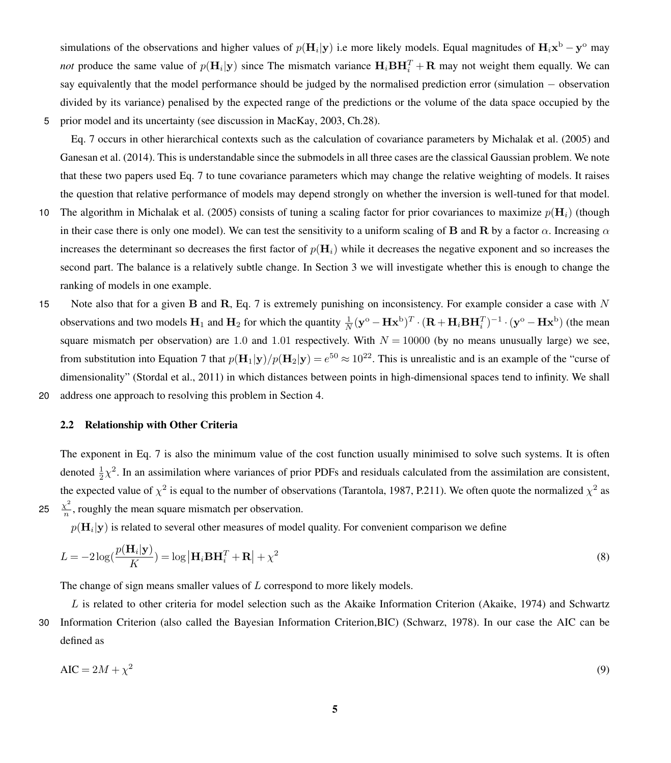simulations of the observations and higher values of  $p(\mathbf{H}_i|\mathbf{y})$  i.e more likely models. Equal magnitudes of  $\mathbf{H}_i\mathbf{x}^{\text{b}} - \mathbf{y}^{\text{o}}$  may *not* produce the same value of  $p(\mathbf{H}_i|\mathbf{y})$  since The mismatch variance  $\mathbf{H}_i \mathbf{B} \mathbf{H}_i^T + \mathbf{R}$  may not weight them equally. We can say equivalently that the model performance should be judged by the normalised prediction error (simulation − observation divided by its variance) penalised by the expected range of the predictions or the volume of the data space occupied by the 5 prior model and its uncertainty (see discussion in [MacKay, 2003,](#page-16-5) Ch.28).

Eq. [7](#page-3-1) occurs in other hierarchical contexts such as the calculation of covariance parameters by [Michalak et al.](#page-16-11) [\(2005\)](#page-16-11) and [Ganesan et al.](#page-15-7) [\(2014\)](#page-15-7). This is understandable since the submodels in all three cases are the classical Gaussian problem. We note that these two papers used Eq. [7](#page-3-1) to tune covariance parameters which may change the relative weighting of models. It raises the question that relative performance of models may depend strongly on whether the inversion is well-tuned for that model.

- 10 The algorithm in [Michalak et al.](#page-16-11) [\(2005\)](#page-16-11) consists of tuning a scaling factor for prior covariances to maximize  $p(\mathbf{H}_i)$  (though in their case there is only one model). We can test the sensitivity to a uniform scaling of **B** and **R** by a factor  $\alpha$ . Increasing  $\alpha$ increases the determinant so decreases the first factor of  $p(\mathbf{H}_i)$  while it decreases the negative exponent and so increases the second part. The balance is a relatively subtle change. In Section [3](#page-5-0) we will investigate whether this is enough to change the ranking of models in one example.
- 15 Note also that for a given B and R, Eq. [7](#page-3-1) is extremely punishing on inconsistency. For example consider a case with  $N$ observations and two models  $H_1$  and  $H_2$  for which the quantity  $\frac{1}{N}(\mathbf{y}^{\text{o}} - \mathbf{H}\mathbf{x}^{\text{b}})^T \cdot (\mathbf{R} + \mathbf{H}_i \mathbf{B} \mathbf{H}_i^T)^{-1} \cdot (\mathbf{y}^{\text{o}} - \mathbf{H}\mathbf{x}^{\text{b}})$  (the mean square mismatch per observation) are 1.0 and 1.01 respectively. With  $N = 10000$  (by no means unusually large) we see, from substitution into Equation [7](#page-3-1) that  $p(H_1|y)/p(H_2|y) = e^{50} \approx 10^{22}$ . This is unrealistic and is an example of the "curse of dimensionality" [\(Stordal et al., 2011\)](#page-17-3) in which distances between points in high-dimensional spaces tend to infinity. We shall 20 address one approach to resolving this problem in Section [4.](#page-7-0)

#### 2.2 Relationship with Other Criteria

The exponent in Eq. [7](#page-3-1) is also the minimum value of the cost function usually minimised to solve such systems. It is often denoted  $\frac{1}{2}\chi^2$ . In an assimilation where variances of prior PDFs and residuals calculated from the assimilation are consistent, the expected value of  $\chi^2$  is equal to the number of observations [\(Tarantola, 1987,](#page-17-4) P.211). We often quote the normalized  $\chi^2$  as  $\chi^2$ 25  $\frac{\chi}{n}$ , roughly the mean square mismatch per observation.

 $p(\mathbf{H}_i|\mathbf{y})$  is related to several other measures of model quality. For convenient comparison we define

$$
L = -2\log\left(\frac{p(\mathbf{H}_i|\mathbf{y})}{K}\right) = \log|\mathbf{H}_i\mathbf{B}\mathbf{H}_i^T + \mathbf{R}| + \chi^2
$$
\n(8)

The change of sign means smaller values of L correspond to more likely models.

L is related to other criteria for model selection such as the Akaike Information Criterion [\(Akaike, 1974\)](#page-15-8) and Schwartz 30 Information Criterion (also called the Bayesian Information Criterion,BIC) [\(Schwarz, 1978\)](#page-16-12). In our case the AIC can be defined as

$$
AIC = 2M + \chi^2 \tag{9}
$$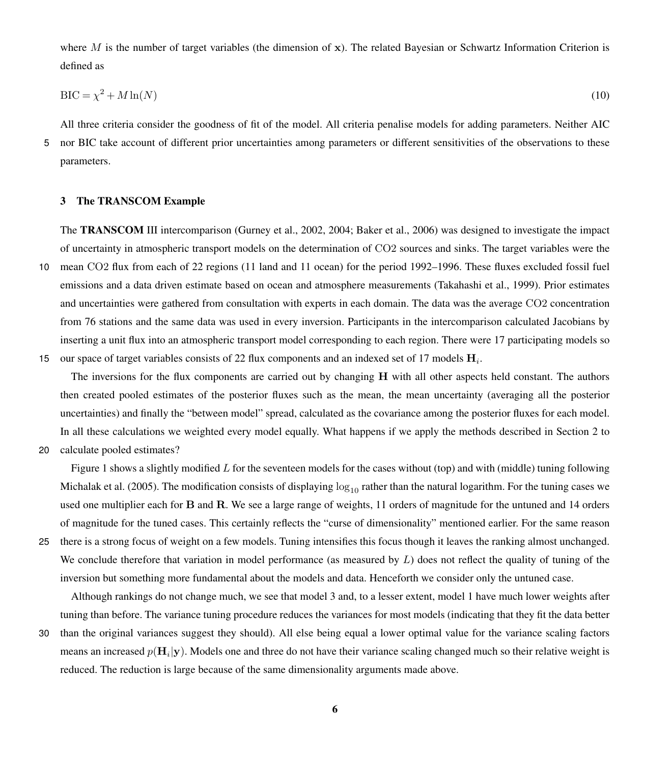where M is the number of target variables (the dimension of  $x$ ). The related Bayesian or Schwartz Information Criterion is defined as

$$
BIC = \chi^2 + M \ln(N) \tag{10}
$$

All three criteria consider the goodness of fit of the model. All criteria penalise models for adding parameters. Neither AIC 5 nor BIC take account of different prior uncertainties among parameters or different sensitivities of the observations to these parameters.

# <span id="page-5-0"></span>3 The TRANSCOM Example

The TRANSCOM III intercomparison [\(Gurney et al., 2002,](#page-15-3) [2004;](#page-15-5) [Baker et al., 2006\)](#page-15-6) was designed to investigate the impact of uncertainty in atmospheric transport models on the determination of CO2 sources and sinks. The target variables were the 10 mean CO2 flux from each of 22 regions (11 land and 11 ocean) for the period 1992–1996. These fluxes excluded fossil fuel emissions and a data driven estimate based on ocean and atmosphere measurements [\(Takahashi et al., 1999\)](#page-17-5). Prior estimates and uncertainties were gathered from consultation with experts in each domain. The data was the average CO2 concentration from 76 stations and the same data was used in every inversion. Participants in the intercomparison calculated Jacobians by inserting a unit flux into an atmospheric transport model corresponding to each region. There were 17 participating models so 15 our space of target variables consists of 22 flux components and an indexed set of 17 models  $H_i$ .

The inversions for the flux components are carried out by changing H with all other aspects held constant. The authors then created pooled estimates of the posterior fluxes such as the mean, the mean uncertainty (averaging all the posterior uncertainties) and finally the "between model" spread, calculated as the covariance among the posterior fluxes for each model. In all these calculations we weighted every model equally. What happens if we apply the methods described in Section [2](#page-2-0) to

20 calculate pooled estimates?

Figure [1](#page-6-0) shows a slightly modified L for the seventeen models for the cases without (top) and with (middle) tuning following [Michalak et al.](#page-16-11) [\(2005\)](#page-16-11). The modification consists of displaying  $\log_{10}$  rather than the natural logarithm. For the tuning cases we used one multiplier each for B and R. We see a large range of weights, 11 orders of magnitude for the untuned and 14 orders of magnitude for the tuned cases. This certainly reflects the "curse of dimensionality" mentioned earlier. For the same reason

25 there is a strong focus of weight on a few models. Tuning intensifies this focus though it leaves the ranking almost unchanged. We conclude therefore that variation in model performance (as measured by  $L$ ) does not reflect the quality of tuning of the inversion but something more fundamental about the models and data. Henceforth we consider only the untuned case.

Although rankings do not change much, we see that model 3 and, to a lesser extent, model 1 have much lower weights after tuning than before. The variance tuning procedure reduces the variances for most models (indicating that they fit the data better

30 than the original variances suggest they should). All else being equal a lower optimal value for the variance scaling factors means an increased  $p(H_i|y)$ . Models one and three do not have their variance scaling changed much so their relative weight is reduced. The reduction is large because of the same dimensionality arguments made above.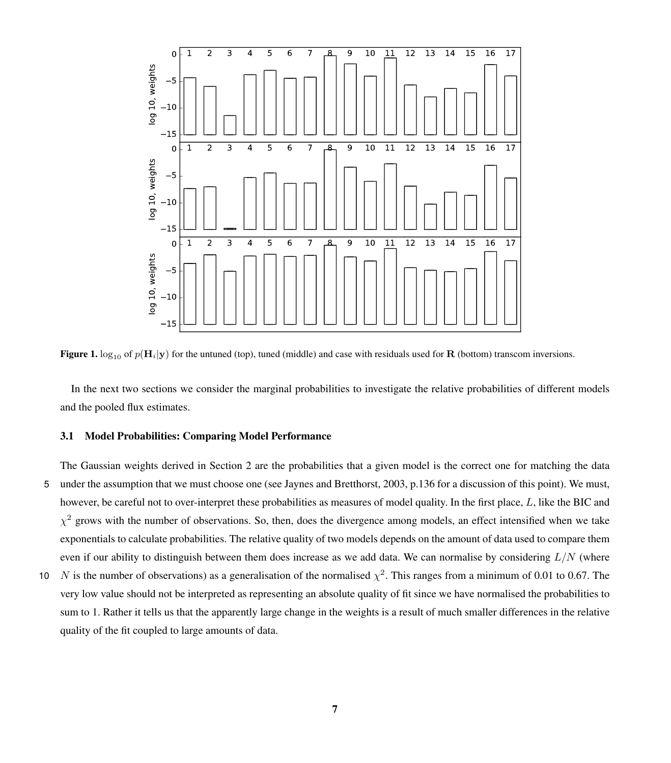<span id="page-6-0"></span>

Figure 1.  $\log_{10}$  of  $p(H_i|y)$  for the untuned (top), tuned (middle) and case with residuals used for R (bottom) transcom inversions.

In the next two sections we consider the marginal probabilities to investigate the relative probabilities of different models and the pooled flux estimates.

#### <span id="page-6-1"></span>3.1 Model Probabilities: Comparing Model Performance

The Gaussian weights derived in Section [2](#page-2-0) are the probabilities that a given model is the correct one for matching the data 5 under the assumption that we must choose one (see [Jaynes and Bretthorst, 2003,](#page-16-10) p.136 for a discussion of this point). We must, however, be careful not to over-interpret these probabilities as measures of model quality. In the first place, L, like the BIC and  $\chi^2$  grows with the number of observations. So, then, does the divergence among models, an effect intensified when we take exponentials to calculate probabilities. The relative quality of two models depends on the amount of data used to compare them even if our ability to distinguish between them does increase as we add data. We can normalise by considering  $L/N$  (where

10 N is the number of observations) as a generalisation of the normalised  $\chi^2$ . This ranges from a minimum of 0.01 to 0.67. The very low value should not be interpreted as representing an absolute quality of fit since we have normalised the probabilities to sum to 1. Rather it tells us that the apparently large change in the weights is a result of much smaller differences in the relative quality of the fit coupled to large amounts of data.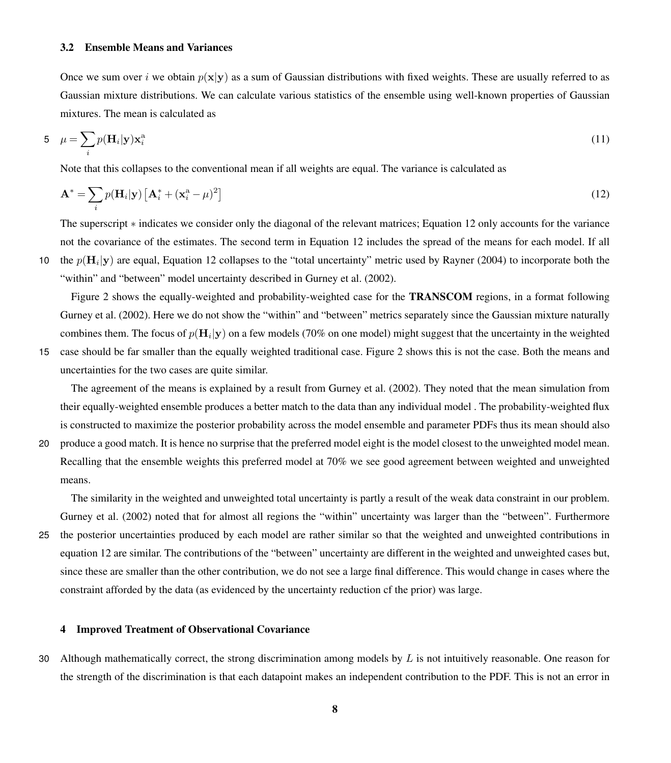#### 3.2 Ensemble Means and Variances

Once we sum over i we obtain  $p(x|y)$  as a sum of Gaussian distributions with fixed weights. These are usually referred to as Gaussian mixture distributions. We can calculate various statistics of the ensemble using well-known properties of Gaussian mixtures. The mean is calculated as

$$
5 \quad \mu = \sum_{i} p(\mathbf{H}_{i}|\mathbf{y}) \mathbf{x}_{i}^{\mathbf{a}} \tag{11}
$$

Note that this collapses to the conventional mean if all weights are equal. The variance is calculated as

<span id="page-7-1"></span>
$$
\mathbf{A}^* = \sum_i p(\mathbf{H}_i|\mathbf{y}) \left[ \mathbf{A}_i^* + (\mathbf{x}_i^a - \mu)^2 \right]
$$
 (12)

The superscript ∗ indicates we consider only the diagonal of the relevant matrices; Equation [12](#page-7-1) only accounts for the variance not the covariance of the estimates. The second term in Equation [12](#page-7-1) includes the spread of the means for each model. If all the p( $H_i | y$ ) are equal, Equation [12](#page-7-1) collapses to the "total uncertainty" metric used by [Rayner](#page-16-13) [\(2004\)](#page-16-13) to incorporate both the "within" and "between" model uncertainty described in [Gurney et al.](#page-15-3) [\(2002\)](#page-15-3).

Figure [2](#page-8-0) shows the equally-weighted and probability-weighted case for the **TRANSCOM** regions, in a format following [Gurney et al.](#page-15-3) [\(2002\)](#page-15-3). Here we do not show the "within" and "between" metrics separately since the Gaussian mixture naturally combines them. The focus of  $p(\mathbf{H}_i|\mathbf{y})$  on a few models (70% on one model) might suggest that the uncertainty in the weighted

15 case should be far smaller than the equally weighted traditional case. Figure [2](#page-8-0) shows this is not the case. Both the means and uncertainties for the two cases are quite similar.

The agreement of the means is explained by a result from [Gurney et al.](#page-15-3) [\(2002\)](#page-15-3). They noted that the mean simulation from their equally-weighted ensemble produces a better match to the data than any individual model . The probability-weighted flux is constructed to maximize the posterior probability across the model ensemble and parameter PDFs thus its mean should also

20 produce a good match. It is hence no surprise that the preferred model eight is the model closest to the unweighted model mean. Recalling that the ensemble weights this preferred model at 70% we see good agreement between weighted and unweighted means.

The similarity in the weighted and unweighted total uncertainty is partly a result of the weak data constraint in our problem. [Gurney et al.](#page-15-3) [\(2002\)](#page-15-3) noted that for almost all regions the "within" uncertainty was larger than the "between". Furthermore

25 the posterior uncertainties produced by each model are rather similar so that the weighted and unweighted contributions in equation [12](#page-7-1) are similar. The contributions of the "between" uncertainty are different in the weighted and unweighted cases but, since these are smaller than the other contribution, we do not see a large final difference. This would change in cases where the constraint afforded by the data (as evidenced by the uncertainty reduction cf the prior) was large.

#### <span id="page-7-0"></span>4 Improved Treatment of Observational Covariance

30 Although mathematically correct, the strong discrimination among models by  $L$  is not intuitively reasonable. One reason for the strength of the discrimination is that each datapoint makes an independent contribution to the PDF. This is not an error in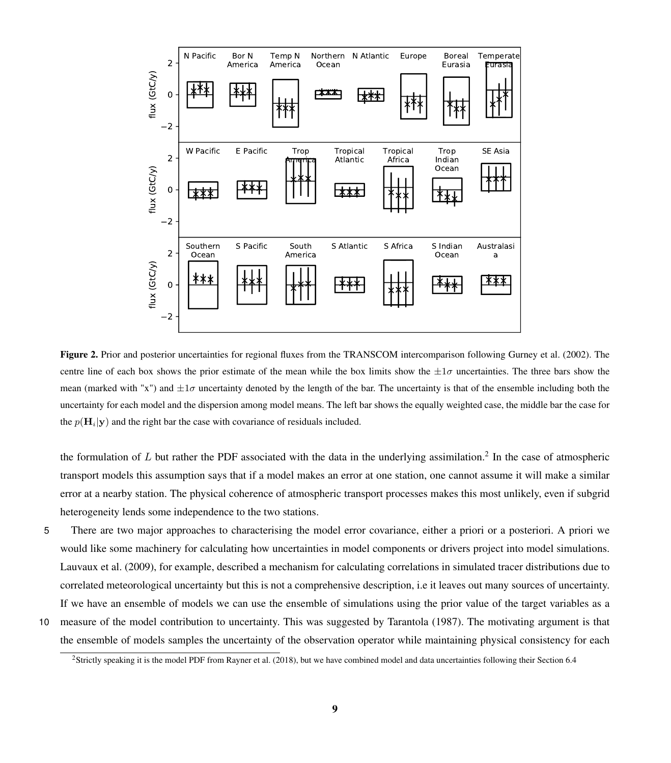<span id="page-8-0"></span>

Figure 2. Prior and posterior uncertainties for regional fluxes from the TRANSCOM intercomparison following [Gurney et al.](#page-15-3) [\(2002\)](#page-15-3). The centre line of each box shows the prior estimate of the mean while the box limits show the  $\pm 1\sigma$  uncertainties. The three bars show the mean (marked with "x") and  $\pm 1\sigma$  uncertainty denoted by the length of the bar. The uncertainty is that of the ensemble including both the uncertainty for each model and the dispersion among model means. The left bar shows the equally weighted case, the middle bar the case for the  $p(\mathbf{H}_i|\mathbf{y})$  and the right bar the case with covariance of residuals included.

the formulation of  $L$  but rather the PDF associated with the data in the underlying assimilation.<sup>[2](#page-8-1)</sup> In the case of atmospheric transport models this assumption says that if a model makes an error at one station, one cannot assume it will make a similar error at a nearby station. The physical coherence of atmospheric transport processes makes this most unlikely, even if subgrid heterogeneity lends some independence to the two stations.

- 5 There are two major approaches to characterising the model error covariance, either a priori or a posteriori. A priori we would like some machinery for calculating how uncertainties in model components or drivers project into model simulations. [Lauvaux et al.](#page-16-14) [\(2009\)](#page-16-14), for example, described a mechanism for calculating correlations in simulated tracer distributions due to correlated meteorological uncertainty but this is not a comprehensive description, i.e it leaves out many sources of uncertainty. If we have an ensemble of models we can use the ensemble of simulations using the prior value of the target variables as a
- 10 measure of the model contribution to uncertainty. This was suggested by [Tarantola](#page-17-4) [\(1987\)](#page-17-4). The motivating argument is that the ensemble of models samples the uncertainty of the observation operator while maintaining physical consistency for each

<span id="page-8-1"></span><sup>2</sup>Strictly speaking it is the model PDF from [Rayner et al.](#page-16-3) [\(2018\)](#page-16-3), but we have combined model and data uncertainties following their Section 6.4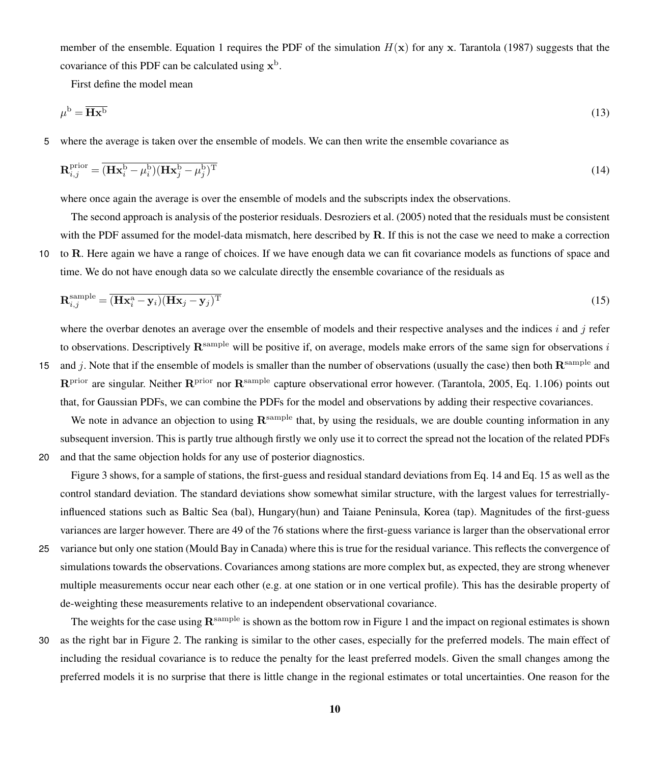member of the ensemble. Equation [1](#page-2-2) requires the PDF of the simulation  $H(x)$  for any x. [Tarantola](#page-17-4) [\(1987\)](#page-17-4) suggests that the covariance of this PDF can be calculated using  $x^b$ .

<span id="page-9-0"></span>First define the model mean

$$
\mu^{\rm b} = \overline{\mathbf{H} \mathbf{x}^{\rm b}} \tag{13}
$$

5 where the average is taken over the ensemble of models. We can then write the ensemble covariance as

$$
\mathbf{R}_{i,j}^{\text{prior}} = \overline{(\mathbf{H}\mathbf{x}_i^{\text{b}} - \mu_i^{\text{b}})(\mathbf{H}\mathbf{x}_j^{\text{b}} - \mu_j^{\text{b}})^{\text{T}}}
$$
(14)

where once again the average is over the ensemble of models and the subscripts index the observations.

The second approach is analysis of the posterior residuals. [Desroziers et al.](#page-15-9) [\(2005\)](#page-15-9) noted that the residuals must be consistent with the PDF assumed for the model-data mismatch, here described by R. If this is not the case we need to make a correction 10 to R. Here again we have a range of choices. If we have enough data we can fit covariance models as functions of space and time. We do not have enough data so we calculate directly the ensemble covariance of the residuals as

<span id="page-9-1"></span>
$$
\mathbf{R}_{i,j}^{\text{sample}} = \overline{(\mathbf{H}\mathbf{x}_i^{\text{a}} - \mathbf{y}_i)(\mathbf{H}\mathbf{x}_j - \mathbf{y}_j)^{\text{T}}}
$$
(15)

where the overbar denotes an average over the ensemble of models and their respective analyses and the indices i and j refer to observations. Descriptively  $\mathbf{R}^{\text{sample}}$  will be positive if, on average, models make errors of the same sign for observations i

15 and j. Note that if the ensemble of models is smaller than the number of observations (usually the case) then both  $\mathbb{R}^{\text{sample}}$  and  $\mathbb{R}^{\text{prior}}$  are singular. Neither  $\mathbb{R}^{\text{prior}}$  nor  $\mathbb{R}^{\text{sample}}$  capture observational error however. [\(Tarantola, 2005,](#page-17-2) Eq. 1.106) points out that, for Gaussian PDFs, we can combine the PDFs for the model and observations by adding their respective covariances.

We note in advance an objection to using  $\mathbf{R}^{\text{sample}}$  that, by using the residuals, we are double counting information in any subsequent inversion. This is partly true although firstly we only use it to correct the spread not the location of the related PDFs 20 and that the same objection holds for any use of posterior diagnostics.

Figure [3](#page-10-1) shows, for a sample of stations, the first-guess and residual standard deviations from Eq. [14](#page-9-0) and Eq. [15](#page-9-1) as well as the control standard deviation. The standard deviations show somewhat similar structure, with the largest values for terrestriallyinfluenced stations such as Baltic Sea (bal), Hungary(hun) and Taiane Peninsula, Korea (tap). Magnitudes of the first-guess variances are larger however. There are 49 of the 76 stations where the first-guess variance is larger than the observational error

25 variance but only one station (Mould Bay in Canada) where this is true for the residual variance. This reflects the convergence of simulations towards the observations. Covariances among stations are more complex but, as expected, they are strong whenever multiple measurements occur near each other (e.g. at one station or in one vertical profile). This has the desirable property of de-weighting these measurements relative to an independent observational covariance.

The weights for the case using  $\mathbf{R}^{\text{sample}}$  is shown as the bottom row in Figure [1](#page-6-0) and the impact on regional estimates is shown 30 as the right bar in Figure [2.](#page-8-0) The ranking is similar to the other cases, especially for the preferred models. The main effect of including the residual covariance is to reduce the penalty for the least preferred models. Given the small changes among the preferred models it is no surprise that there is little change in the regional estimates or total uncertainties. One reason for the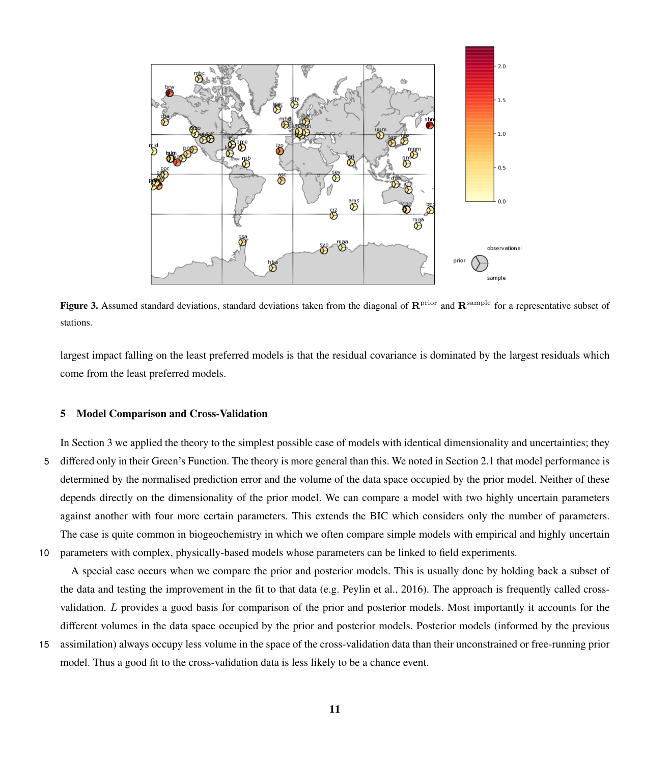<span id="page-10-1"></span>

Figure 3. Assumed standard deviations, standard deviations taken from the diagonal of  $\mathbb{R}^{\text{prior}}$  and  $\mathbb{R}^{\text{sample}}$  for a representative subset of stations.

largest impact falling on the least preferred models is that the residual covariance is dominated by the largest residuals which come from the least preferred models.

#### <span id="page-10-0"></span>5 Model Comparison and Cross-Validation

In Section [3](#page-5-0) we applied the theory to the simplest possible case of models with identical dimensionality and uncertainties; they 5 differed only in their Green's Function. The theory is more general than this. We noted in Section [2.1](#page-3-2) that model performance is determined by the normalised prediction error and the volume of the data space occupied by the prior model. Neither of these depends directly on the dimensionality of the prior model. We can compare a model with two highly uncertain parameters against another with four more certain parameters. This extends the BIC which considers only the number of parameters. The case is quite common in biogeochemistry in which we often compare simple models with empirical and highly uncertain 10 parameters with complex, physically-based models whose parameters can be linked to field experiments.

A special case occurs when we compare the prior and posterior models. This is usually done by holding back a subset of the data and testing the improvement in the fit to that data (e.g. [Peylin et al., 2016\)](#page-16-15). The approach is frequently called crossvalidation. L provides a good basis for comparison of the prior and posterior models. Most importantly it accounts for the different volumes in the data space occupied by the prior and posterior models. Posterior models (informed by the previous

15 assimilation) always occupy less volume in the space of the cross-validation data than their unconstrained or free-running prior model. Thus a good fit to the cross-validation data is less likely to be a chance event.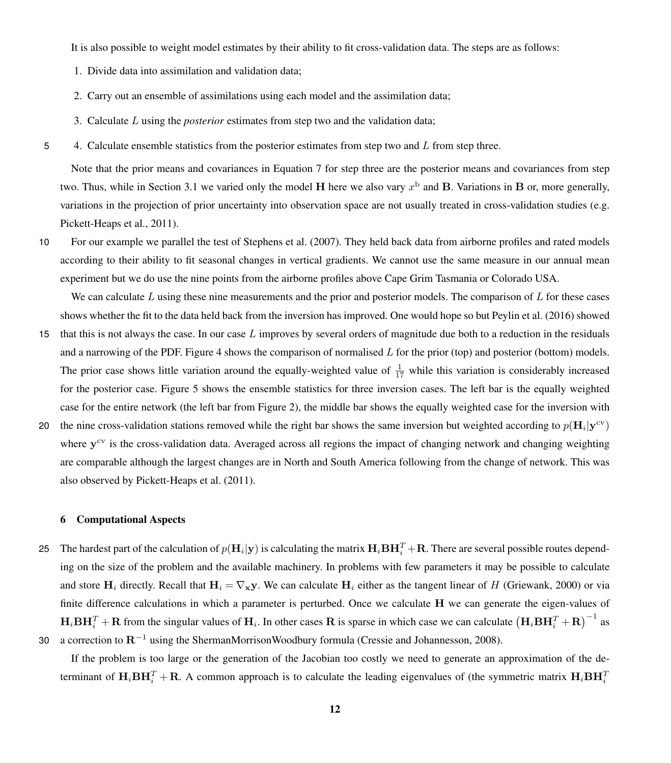It is also possible to weight model estimates by their ability to fit cross-validation data. The steps are as follows:

- 1. Divide data into assimilation and validation data;
- 2. Carry out an ensemble of assimilations using each model and the assimilation data;
- 3. Calculate L using the *posterior* estimates from step two and the validation data;
- 5 4. Calculate ensemble statistics from the posterior estimates from step two and  $L$  from step three.

Note that the prior means and covariances in Equation [7](#page-3-1) for step three are the posterior means and covariances from step two. Thus, while in Section [3.1](#page-6-1) we varied only the model H here we also vary  $x^b$  and B. Variations in B or, more generally, variations in the projection of prior uncertainty into observation space are not usually treated in cross-validation studies (e.g. [Pickett-Heaps et al., 2011\)](#page-16-8).

10 For our example we parallel the test of [Stephens et al.](#page-17-1) [\(2007\)](#page-17-1). They held back data from airborne profiles and rated models according to their ability to fit seasonal changes in vertical gradients. We cannot use the same measure in our annual mean experiment but we do use the nine points from the airborne profiles above Cape Grim Tasmania or Colorado USA.

We can calculate  $L$  using these nine measurements and the prior and posterior models. The comparison of  $L$  for these cases shows whether the fit to the data held back from the inversion has improved. One would hope so but [Peylin et al.](#page-16-15) [\(2016\)](#page-16-15) showed

- 15 that this is not always the case. In our case  $L$  improves by several orders of magnitude due both to a reduction in the residuals and a narrowing of the PDF. Figure [4](#page-12-1) shows the comparison of normalised  $L$  for the prior (top) and posterior (bottom) models. The prior case shows little variation around the equally-weighted value of  $\frac{1}{17}$  while this variation is considerably increased for the posterior case. Figure [5](#page-13-0) shows the ensemble statistics for three inversion cases. The left bar is the equally weighted case for the entire network (the left bar from Figure [2\)](#page-8-0), the middle bar shows the equally weighted case for the inversion with
- 20 the nine cross-validation stations removed while the right bar shows the same inversion but weighted according to  $p(\mathbf{H}_i|\mathbf{y}^{\text{cv}})$ where y<sup>cv</sup> is the cross-validation data. Averaged across all regions the impact of changing network and changing weighting are comparable although the largest changes are in North and South America following from the change of network. This was also observed by [Pickett-Heaps et al.](#page-16-8) [\(2011\)](#page-16-8).

#### 6 Computational Aspects

25 The hardest part of the calculation of  $p(\mathbf{H}_i|\mathbf{y})$  is calculating the matrix  $\mathbf{H}_i\mathbf{B}\mathbf{H}_i^T + \mathbf{R}$ . There are several possible routes depending on the size of the problem and the available machinery. In problems with few parameters it may be possible to calculate and store H<sub>i</sub> directly. Recall that  $H_i = \nabla_X y$ . We can calculate H<sub>i</sub> either as the tangent linear of H [\(Griewank, 2000\)](#page-15-10) or via finite difference calculations in which a parameter is perturbed. Once we calculate H we can generate the eigen-values of  $H_i$ **BH** $_i^T$  + **R** from the singular values of  $H_i$ . In other cases **R** is sparse in which case we can calculate  $(H_i BH_i^T + R)^{-1}$  as 30 a correction to  $\mathbf{R}^{-1}$  using the ShermanMorrisonWoodbury formula [\(Cressie and Johannesson, 2008\)](#page-15-11).

If the problem is too large or the generation of the Jacobian too costly we need to generate an approximation of the determinant of  $H_i$ BH $_i^T$  + R. A common approach is to calculate the leading eigenvalues of (the symmetric matrix  $H_i$ BH $_i^T$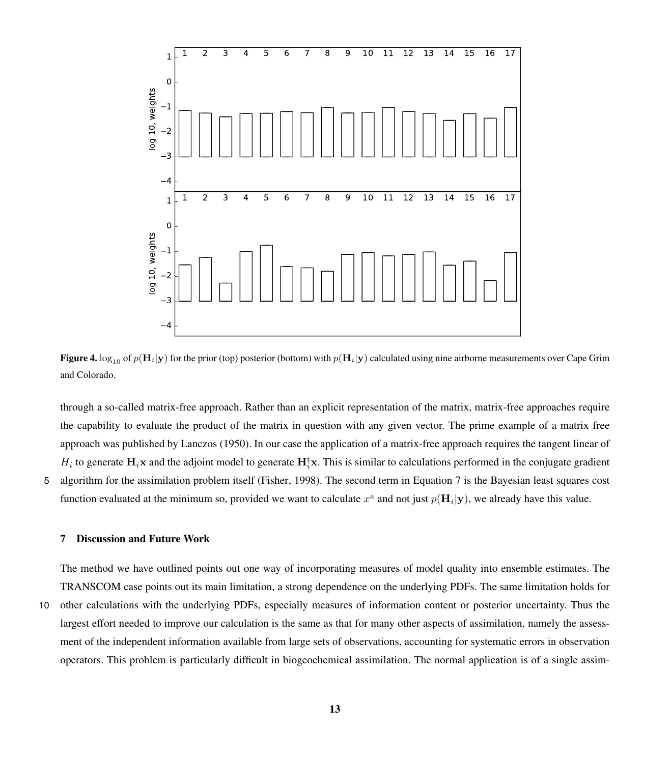<span id="page-12-1"></span>

**Figure 4.** log<sub>10</sub> of  $p(\mathbf{H}_i|\mathbf{y})$  for the prior (top) posterior (bottom) with  $p(\mathbf{H}_i|\mathbf{y})$  calculated using nine airborne measurements over Cape Grim and Colorado.

through a so-called matrix-free approach. Rather than an explicit representation of the matrix, matrix-free approaches require the capability to evaluate the product of the matrix in question with any given vector. The prime example of a matrix free approach was published by [Lanczos](#page-16-16) [\(1950\)](#page-16-16). In our case the application of a matrix-free approach requires the tangent linear of  $H_i$  to generate  $H_i$ **x** and the adjoint model to generate  $H_i^t$ **x**. This is similar to calculations performed in the conjugate gradient 5 algorithm for the assimilation problem itself [\(Fisher, 1998\)](#page-15-12). The second term in Equation [7](#page-3-1) is the Bayesian least squares cost function evaluated at the minimum so, provided we want to calculate  $x^a$  and not just  $p(\mathbf{H}_i|\mathbf{y})$ , we already have this value.

#### <span id="page-12-0"></span>7 Discussion and Future Work

The method we have outlined points out one way of incorporating measures of model quality into ensemble estimates. The TRANSCOM case points out its main limitation, a strong dependence on the underlying PDFs. The same limitation holds for 10 other calculations with the underlying PDFs, especially measures of information content or posterior uncertainty. Thus the largest effort needed to improve our calculation is the same as that for many other aspects of assimilation, namely the assessment of the independent information available from large sets of observations, accounting for systematic errors in observation operators. This problem is particularly difficult in biogeochemical assimilation. The normal application is of a single assim-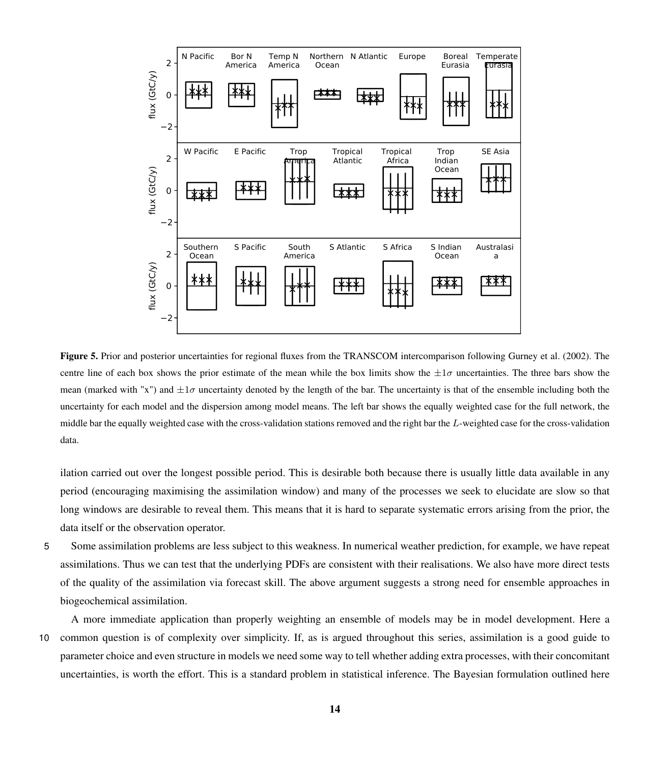<span id="page-13-0"></span>

Figure 5. Prior and posterior uncertainties for regional fluxes from the TRANSCOM intercomparison following [Gurney et al.](#page-15-3) [\(2002\)](#page-15-3). The centre line of each box shows the prior estimate of the mean while the box limits show the  $\pm 1\sigma$  uncertainties. The three bars show the mean (marked with "x") and  $\pm 1\sigma$  uncertainty denoted by the length of the bar. The uncertainty is that of the ensemble including both the uncertainty for each model and the dispersion among model means. The left bar shows the equally weighted case for the full network, the middle bar the equally weighted case with the cross-validation stations removed and the right bar the L-weighted case for the cross-validation data.

ilation carried out over the longest possible period. This is desirable both because there is usually little data available in any period (encouraging maximising the assimilation window) and many of the processes we seek to elucidate are slow so that long windows are desirable to reveal them. This means that it is hard to separate systematic errors arising from the prior, the data itself or the observation operator.

5 Some assimilation problems are less subject to this weakness. In numerical weather prediction, for example, we have repeat assimilations. Thus we can test that the underlying PDFs are consistent with their realisations. We also have more direct tests of the quality of the assimilation via forecast skill. The above argument suggests a strong need for ensemble approaches in biogeochemical assimilation.

A more immediate application than properly weighting an ensemble of models may be in model development. Here a 10 common question is of complexity over simplicity. If, as is argued throughout this series, assimilation is a good guide to parameter choice and even structure in models we need some way to tell whether adding extra processes, with their concomitant uncertainties, is worth the effort. This is a standard problem in statistical inference. The Bayesian formulation outlined here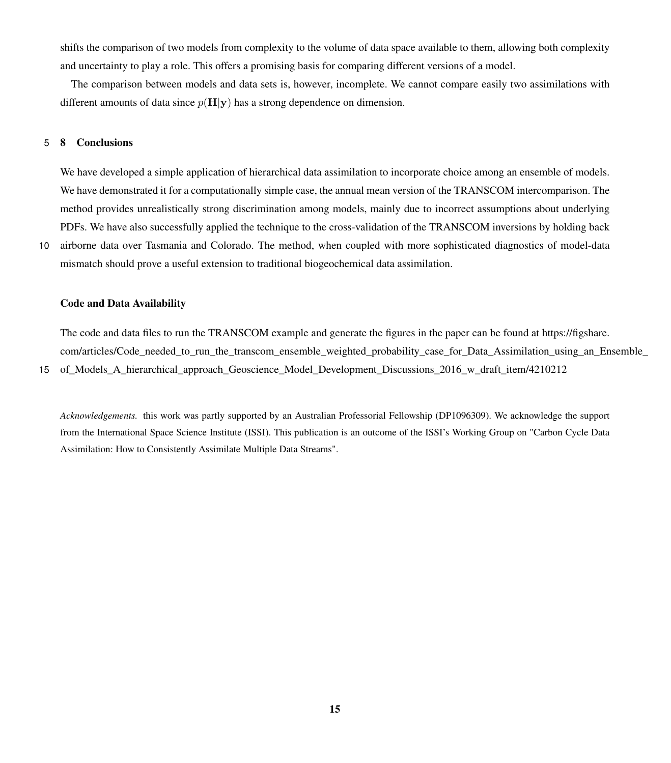shifts the comparison of two models from complexity to the volume of data space available to them, allowing both complexity and uncertainty to play a role. This offers a promising basis for comparing different versions of a model.

The comparison between models and data sets is, however, incomplete. We cannot compare easily two assimilations with different amounts of data since  $p(H|\mathbf{v})$  has a strong dependence on dimension.

# 5 8 Conclusions

We have developed a simple application of hierarchical data assimilation to incorporate choice among an ensemble of models. We have demonstrated it for a computationally simple case, the annual mean version of the TRANSCOM intercomparison. The method provides unrealistically strong discrimination among models, mainly due to incorrect assumptions about underlying PDFs. We have also successfully applied the technique to the cross-validation of the TRANSCOM inversions by holding back

10 airborne data over Tasmania and Colorado. The method, when coupled with more sophisticated diagnostics of model-data mismatch should prove a useful extension to traditional biogeochemical data assimilation.

#### Code and Data Availability

[T](https://figshare.com/articles/Code_needed_to_run_the_transcom_ensemble_weighted_probability_case_for_Data_Assimilation_using_an_Ensemble_of_Models_A_hierarchical_approach_Geoscience_Model_Development_Discussions_2016_w_draft_item/4210212)he code and data files to run the TRANSCOM example and generate the figures in the paper can be found at [https://figshare.](https://figshare.com/articles/Code_needed_to_run_the_transcom_ensemble_weighted_probability_case_for_Data_Assimilation_using_an_Ensemble_of_Models_A_hierarchical_approach_Geoscience_Model_Development_Discussions_2016_w_draft_item/4210212) com/articles/Code needed to run the transcom ensemble weighted probability case for Data Assimilation using an Ensemble 15 of Models A hierarchical approach Geoscience Model Development Discussions 2016 w draft item/4210212

*Acknowledgements.* this work was partly supported by an Australian Professorial Fellowship (DP1096309). We acknowledge the support from the International Space Science Institute (ISSI). This publication is an outcome of the ISSI's Working Group on "Carbon Cycle Data Assimilation: How to Consistently Assimilate Multiple Data Streams".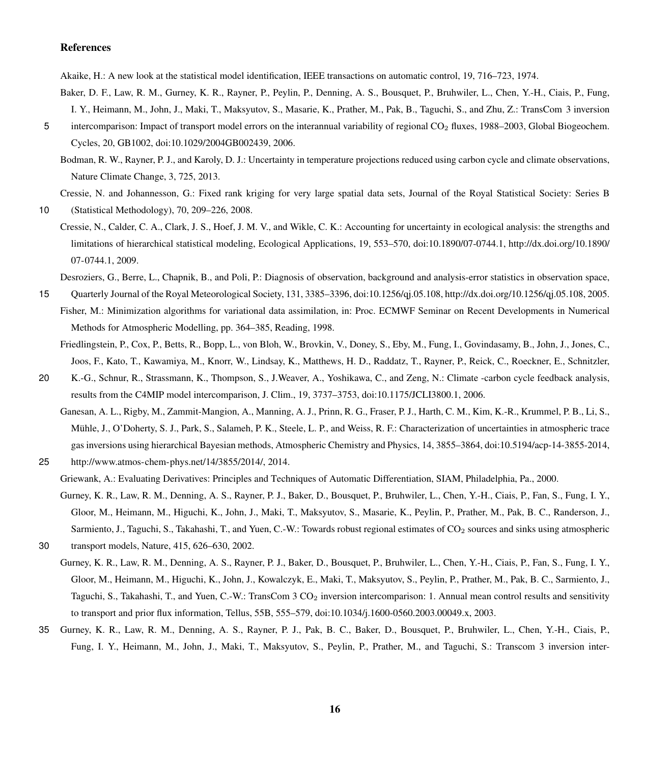## References

<span id="page-15-8"></span>Akaike, H.: A new look at the statistical model identification, IEEE transactions on automatic control, 19, 716–723, 1974.

- <span id="page-15-6"></span>Baker, D. F., Law, R. M., Gurney, K. R., Rayner, P., Peylin, P., Denning, A. S., Bousquet, P., Bruhwiler, L., Chen, Y.-H., Ciais, P., Fung, I. Y., Heimann, M., John, J., Maki, T., Maksyutov, S., Masarie, K., Prather, M., Pak, B., Taguchi, S., and Zhu, Z.: TransCom 3 inversion
- <span id="page-15-0"></span>5 intercomparison: Impact of transport model errors on the interannual variability of regional CO<sub>2</sub> fluxes, 1988–2003, Global Biogeochem. Cycles, 20, GB1002, doi:10.1029/2004GB002439, 2006.
	- Bodman, R. W., Rayner, P. J., and Karoly, D. J.: Uncertainty in temperature projections reduced using carbon cycle and climate observations, Nature Climate Change, 3, 725, 2013.

<span id="page-15-11"></span>Cressie, N. and Johannesson, G.: Fixed rank kriging for very large spatial data sets, Journal of the Royal Statistical Society: Series B

<span id="page-15-2"></span>10 (Statistical Methodology), 70, 209–226, 2008.

Cressie, N., Calder, C. A., Clark, J. S., Hoef, J. M. V., and Wikle, C. K.: Accounting for uncertainty in ecological analysis: the strengths and limitations of hierarchical statistical modeling, Ecological Applications, 19, 553–570, doi[:10.1890/07-0744.1, http://dx.doi.org/10.1890/](http://dx.doi.org/10.1890/07-0744.1) [07-0744.1,](http://dx.doi.org/10.1890/07-0744.1) 2009.

Desroziers, G., Berre, L., Chapnik, B., and Poli, P.: Diagnosis of observation, background and analysis-error statistics in observation space,

- <span id="page-15-12"></span><span id="page-15-9"></span><span id="page-15-1"></span>15 Quarterly Journal of the Royal Meteorological Society, 131, 3385–3396, doi[:10.1256/qj.05.108, http://dx.doi.org/10.1256/qj.05.108,](http://dx.doi.org/10.1256/qj.05.108) 2005. Fisher, M.: Minimization algorithms for variational data assimilation, in: Proc. ECMWF Seminar on Recent Developments in Numerical Methods for Atmospheric Modelling, pp. 364–385, Reading, 1998.
	- Friedlingstein, P., Cox, P., Betts, R., Bopp, L., von Bloh, W., Brovkin, V., Doney, S., Eby, M., Fung, I., Govindasamy, B., John, J., Jones, C., Joos, F., Kato, T., Kawamiya, M., Knorr, W., Lindsay, K., Matthews, H. D., Raddatz, T., Rayner, P., Reick, C., Roeckner, E., Schnitzler,
- <span id="page-15-7"></span>20 K.-G., Schnur, R., Strassmann, K., Thompson, S., J.Weaver, A., Yoshikawa, C., and Zeng, N.: Climate -carbon cycle feedback analysis, results from the C4MIP model intercomparison, J. Clim., 19, 3737–3753, doi[:10.1175/JCLI3800.1,](http://dx.doi.org/10.1175/JCLI3800.1) 2006.
	- Ganesan, A. L., Rigby, M., Zammit-Mangion, A., Manning, A. J., Prinn, R. G., Fraser, P. J., Harth, C. M., Kim, K.-R., Krummel, P. B., Li, S., Mühle, J., O'Doherty, S. J., Park, S., Salameh, P. K., Steele, L. P., and Weiss, R. F.: Characterization of uncertainties in atmospheric trace gas inversions using hierarchical Bayesian methods, Atmospheric Chemistry and Physics, 14, 3855–3864, doi[:10.5194/acp-14-3855-2014,](http://dx.doi.org/10.5194/acp-14-3855-2014)

<span id="page-15-10"></span>25 [http://www.atmos-chem-phys.net/14/3855/2014/,](http://www.atmos-chem-phys.net/14/3855/2014/) 2014.

Griewank, A.: Evaluating Derivatives: Principles and Techniques of Automatic Differentiation, SIAM, Philadelphia, Pa., 2000.

- <span id="page-15-3"></span>Gurney, K. R., Law, R. M., Denning, A. S., Rayner, P. J., Baker, D., Bousquet, P., Bruhwiler, L., Chen, Y.-H., Ciais, P., Fan, S., Fung, I. Y., Gloor, M., Heimann, M., Higuchi, K., John, J., Maki, T., Maksyutov, S., Masarie, K., Peylin, P., Prather, M., Pak, B. C., Randerson, J., Sarmiento, J., Taguchi, S., Takahashi, T., and Yuen, C.-W.: Towards robust regional estimates of CO<sub>2</sub> sources and sinks using atmospheric
- <span id="page-15-4"></span>30 transport models, Nature, 415, 626–630, 2002.
- Gurney, K. R., Law, R. M., Denning, A. S., Rayner, P. J., Baker, D., Bousquet, P., Bruhwiler, L., Chen, Y.-H., Ciais, P., Fan, S., Fung, I. Y., Gloor, M., Heimann, M., Higuchi, K., John, J., Kowalczyk, E., Maki, T., Maksyutov, S., Peylin, P., Prather, M., Pak, B. C., Sarmiento, J., Taguchi, S., Takahashi, T., and Yuen, C.-W.: TransCom 3 CO<sub>2</sub> inversion intercomparison: 1. Annual mean control results and sensitivity to transport and prior flux information, Tellus, 55B, 555–579, doi:10.1034/j.1600-0560.2003.00049.x, 2003.
- <span id="page-15-5"></span>35 Gurney, K. R., Law, R. M., Denning, A. S., Rayner, P. J., Pak, B. C., Baker, D., Bousquet, P., Bruhwiler, L., Chen, Y.-H., Ciais, P., Fung, I. Y., Heimann, M., John, J., Maki, T., Maksyutov, S., Peylin, P., Prather, M., and Taguchi, S.: Transcom 3 inversion inter-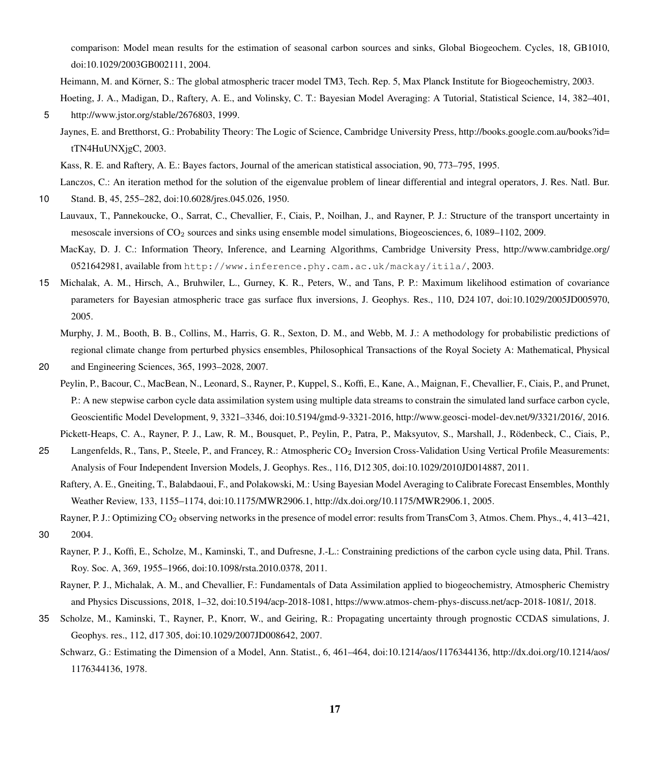comparison: Model mean results for the estimation of seasonal carbon sources and sinks, Global Biogeochem. Cycles, 18, GB1010, doi:10.1029/2003GB002111, 2004.

<span id="page-16-9"></span><span id="page-16-6"></span>Heimann, M. and Körner, S.: The global atmospheric tracer model TM3, Tech. Rep. 5, Max Planck Institute for Biogeochemistry, 2003. Hoeting, J. A., Madigan, D., Raftery, A. E., and Volinsky, C. T.: Bayesian Model Averaging: A Tutorial, Statistical Science, 14, 382–401,

- <span id="page-16-10"></span>5 [http://www.jstor.org/stable/2676803,](http://www.jstor.org/stable/2676803) 1999.
	- [J](http://books.google.com.au/books?id=tTN4HuUNXjgC)aynes, E. and Bretthorst, G.: Probability Theory: The Logic of Science, Cambridge University Press, [http://books.google.com.au/books?id=](http://books.google.com.au/books?id=tTN4HuUNXjgC) [tTN4HuUNXjgC,](http://books.google.com.au/books?id=tTN4HuUNXjgC) 2003.
	- Kass, R. E. and Raftery, A. E.: Bayes factors, Journal of the american statistical association, 90, 773–795, 1995.

<span id="page-16-4"></span>Lanczos, C.: An iteration method for the solution of the eigenvalue problem of linear differential and integral operators, J. Res. Natl. Bur.

<span id="page-16-16"></span><span id="page-16-14"></span>10 Stand. B, 45, 255–282, doi[:10.6028/jres.045.026,](http://dx.doi.org/10.6028/jres.045.026) 1950.

- Lauvaux, T., Pannekoucke, O., Sarrat, C., Chevallier, F., Ciais, P., Noilhan, J., and Rayner, P. J.: Structure of the transport uncertainty in mesoscale inversions of  $CO<sub>2</sub>$  sources and sinks using ensemble model simulations, Biogeosciences, 6, 1089–1102, 2009.
- <span id="page-16-5"></span>[M](http://www.cambridge.org/0521642981)acKay, D. J. C.: Information Theory, Inference, and Learning Algorithms, Cambridge University Press, [http://www.cambridge.org/](http://www.cambridge.org/0521642981) [0521642981,](http://www.cambridge.org/0521642981) available from http://www.inference.phy.cam.ac.uk/mackay/itila/, 2003.
- <span id="page-16-11"></span><span id="page-16-2"></span>15 Michalak, A. M., Hirsch, A., Bruhwiler, L., Gurney, K. R., Peters, W., and Tans, P. P.: Maximum likelihood estimation of covariance parameters for Bayesian atmospheric trace gas surface flux inversions, J. Geophys. Res., 110, D24 107, doi[:10.1029/2005JD005970,](http://dx.doi.org/10.1029/2005JD005970) 2005.
	- Murphy, J. M., Booth, B. B., Collins, M., Harris, G. R., Sexton, D. M., and Webb, M. J.: A methodology for probabilistic predictions of regional climate change from perturbed physics ensembles, Philosophical Transactions of the Royal Society A: Mathematical, Physical

<span id="page-16-15"></span>20 and Engineering Sciences, 365, 1993–2028, 2007.

Peylin, P., Bacour, C., MacBean, N., Leonard, S., Rayner, P., Kuppel, S., Koffi, E., Kane, A., Maignan, F., Chevallier, F., Ciais, P., and Prunet, P.: A new stepwise carbon cycle data assimilation system using multiple data streams to constrain the simulated land surface carbon cycle, Geoscientific Model Development, 9, 3321–3346, doi[:10.5194/gmd-9-3321-2016,](http://dx.doi.org/10.5194/gmd-9-3321-2016) [http://www.geosci-model-dev.net/9/3321/2016/,](http://www.geosci-model-dev.net/9/3321/2016/) 2016.

<span id="page-16-8"></span>Pickett-Heaps, C. A., Rayner, P. J., Law, R. M., Bousquet, P., Peylin, P., Patra, P., Maksyutov, S., Marshall, J., Rödenbeck, C., Ciais, P.,

- <span id="page-16-7"></span>25 Langenfelds, R., Tans, P., Steele, P., and Francey, R.: Atmospheric CO<sup>2</sup> Inversion Cross-Validation Using Vertical Profile Measurements: Analysis of Four Independent Inversion Models, J. Geophys. Res., 116, D12 305, doi[:10.1029/2010JD014887,](http://dx.doi.org/10.1029/2010JD014887) 2011.
	- Raftery, A. E., Gneiting, T., Balabdaoui, F., and Polakowski, M.: Using Bayesian Model Averaging to Calibrate Forecast Ensembles, Monthly Weather Review, 133, 1155–1174, doi[:10.1175/MWR2906.1, http://dx.doi.org/10.1175/MWR2906.1,](http://dx.doi.org/10.1175/MWR2906.1) 2005.
- <span id="page-16-13"></span><span id="page-16-1"></span>Rayner, P. J.: Optimizing CO<sub>2</sub> observing networks in the presence of model error: results from TransCom 3, Atmos. Chem. Phys., 4, 413–421, 30 2004.
	- Rayner, P. J., Koffi, E., Scholze, M., Kaminski, T., and Dufresne, J.-L.: Constraining predictions of the carbon cycle using data, Phil. Trans. Roy. Soc. A, 369, 1955–1966, doi[:10.1098/rsta.2010.0378,](http://dx.doi.org/10.1098/rsta.2010.0378) 2011.
	- Rayner, P. J., Michalak, A. M., and Chevallier, F.: Fundamentals of Data Assimilation applied to biogeochemistry, Atmospheric Chemistry and Physics Discussions, 2018, 1–32, doi[:10.5194/acp-2018-1081,](http://dx.doi.org/10.5194/acp-2018-1081) [https://www.atmos-chem-phys-discuss.net/acp-2018-1081/,](https://www.atmos-chem-phys-discuss.net/acp-2018-1081/) 2018.
- <span id="page-16-12"></span><span id="page-16-3"></span><span id="page-16-0"></span>35 Scholze, M., Kaminski, T., Rayner, P., Knorr, W., and Geiring, R.: Propagating uncertainty through prognostic CCDAS simulations, J. Geophys. res., 112, d17 305, doi:10.1029/2007JD008642, 2007.
	- [S](http://dx.doi.org/10.1214/aos/1176344136)chwarz, G.: Estimating the Dimension of a Model, Ann. Statist., 6, 461–464, doi[:10.1214/aos/1176344136, http://dx.doi.org/10.1214/aos/](http://dx.doi.org/10.1214/aos/1176344136) [1176344136,](http://dx.doi.org/10.1214/aos/1176344136) 1978.